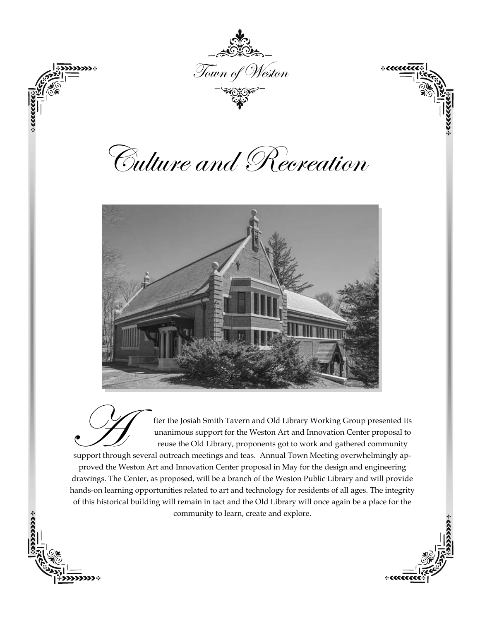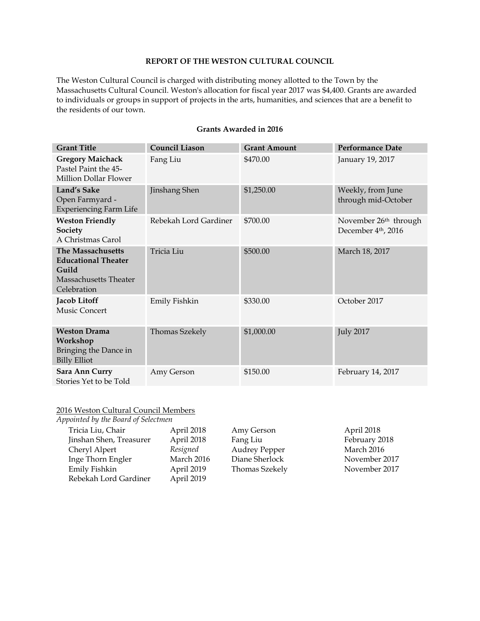# **REPORT OF THE WESTON CULTURAL COUNCIL**

The Weston Cultural Council is charged with distributing money allotted to the Town by the Massachusetts Cultural Council. Weston's allocation for fiscal year 2017 was \$4,400. Grants are awarded to individuals or groups in support of projects in the arts, humanities, and sciences that are a benefit to the residents of our town.

| <b>Grant Title</b>                                                                               | <b>Council Liason</b> | <b>Grant Amount</b> | <b>Performance Date</b>                                              |
|--------------------------------------------------------------------------------------------------|-----------------------|---------------------|----------------------------------------------------------------------|
| <b>Gregory Maichack</b><br>Pastel Paint the 45-<br>Million Dollar Flower                         | Fang Liu              | \$470.00            | January 19, 2017                                                     |
| Land's Sake<br>Open Farmyard -<br><b>Experiencing Farm Life</b>                                  | Jinshang Shen         | \$1,250.00          | Weekly, from June<br>through mid-October                             |
| <b>Weston Friendly</b><br>Society<br>A Christmas Carol                                           | Rebekah Lord Gardiner | \$700.00            | November 26 <sup>th</sup> through<br>December 4 <sup>th</sup> , 2016 |
| The Massachusetts<br><b>Educational Theater</b><br>Guild<br>Massachusetts Theater<br>Celebration | Tricia Liu            | \$500.00            | March 18, 2017                                                       |
| Jacob Litoff<br>Music Concert                                                                    | Emily Fishkin         | \$330.00            | October 2017                                                         |
| <b>Weston Drama</b><br>Workshop<br>Bringing the Dance in<br><b>Billy Elliot</b>                  | <b>Thomas Szekely</b> | \$1,000.00          | <b>July 2017</b>                                                     |
| Sara Ann Curry<br>Stories Yet to be Told                                                         | Amy Gerson            | \$150.00            | February 14, 2017                                                    |

# **Grants Awarded in 2016**

#### 2016 Weston Cultural Council Members

| Appointed by the Board of Selectmen |            |                      |               |
|-------------------------------------|------------|----------------------|---------------|
| Tricia Liu, Chair                   | April 2018 | Amy Gerson           | April 2018    |
| Jinshan Shen, Treasurer             | April 2018 | Fang Liu             | February 2018 |
| Cheryl Alpert                       | Resigned   | <b>Audrey Pepper</b> | March 2016    |
| Inge Thorn Engler                   | March 2016 | Diane Sherlock       | November 2017 |
| Emily Fishkin                       | April 2019 | Thomas Szekely       | November 2017 |
| Rebekah Lord Gardiner               | April 2019 |                      |               |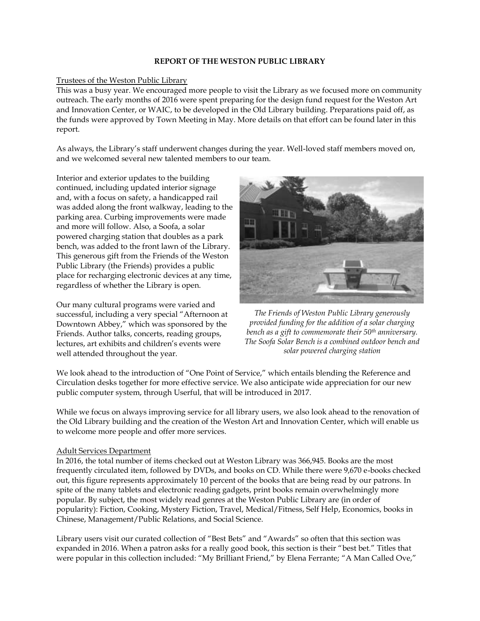## **REPORT OF THE WESTON PUBLIC LIBRARY**

## Trustees of the Weston Public Library

This was a busy year. We encouraged more people to visit the Library as we focused more on community outreach. The early months of 2016 were spent preparing for the design fund request for the Weston Art and Innovation Center, or WAIC, to be developed in the Old Library building. Preparations paid off, as the funds were approved by Town Meeting in May. More details on that effort can be found later in this report.

As always, the Library's staff underwent changes during the year. Well-loved staff members moved on, and we welcomed several new talented members to our team.

Interior and exterior updates to the building continued, including updated interior signage and, with a focus on safety, a handicapped rail was added along the front walkway, leading to the parking area. Curbing improvements were made and more will follow. Also, a Soofa, a solar powered charging station that doubles as a park bench, was added to the front lawn of the Library. This generous gift from the Friends of the Weston Public Library (the Friends) provides a public place for recharging electronic devices at any time, regardless of whether the Library is open.

Our many cultural programs were varied and successful, including a very special "Afternoon at Downtown Abbey," which was sponsored by the Friends. Author talks, concerts, reading groups, lectures, art exhibits and children's events were well attended throughout the year.



*The Friends of Weston Public Library generously provided funding for the addition of a solar charging bench as a gift to commemorate their 50th anniversary. The Soofa Solar Bench is a combined outdoor bench and solar powered charging station*

We look ahead to the introduction of "One Point of Service," which entails blending the Reference and Circulation desks together for more effective service. We also anticipate wide appreciation for our new public computer system, through Userful, that will be introduced in 2017.

While we focus on always improving service for all library users, we also look ahead to the renovation of the Old Library building and the creation of the Weston Art and Innovation Center, which will enable us to welcome more people and offer more services.

### Adult Services Department

In 2016, the total number of items checked out at Weston Library was 366,945. Books are the most frequently circulated item, followed by DVDs, and books on CD. While there were 9,670 e-books checked out, this figure represents approximately 10 percent of the books that are being read by our patrons. In spite of the many tablets and electronic reading gadgets, print books remain overwhelmingly more popular. By subject, the most widely read genres at the Weston Public Library are (in order of popularity): Fiction, Cooking, Mystery Fiction, Travel, Medical/Fitness, Self Help, Economics, books in Chinese, Management/Public Relations, and Social Science.

Library users visit our curated collection of "Best Bets" and "Awards" so often that this section was expanded in 2016. When a patron asks for a really good book, this section is their "best bet." Titles that were popular in this collection included: "My Brilliant Friend," by Elena Ferrante; "A Man Called Ove,"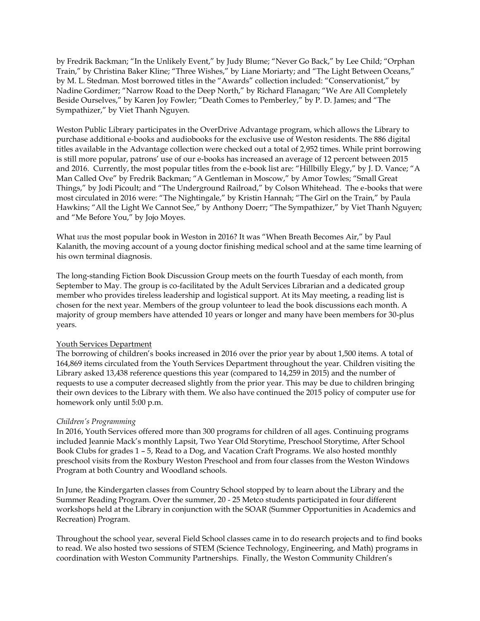by Fredrik Backman; "In the Unlikely Event," by Judy Blume; "Never Go Back," by Lee Child; "Orphan Train," by Christina Baker Kline; "Three Wishes," by Liane Moriarty; and "The Light Between Oceans," by M. L. Stedman. Most borrowed titles in the "Awards" collection included: "Conservationist," by Nadine Gordimer; "Narrow Road to the Deep North," by Richard Flanagan; "We Are All Completely Beside Ourselves," by Karen Joy Fowler; "Death Comes to Pemberley," by P. D. James; and "The Sympathizer," by Viet Thanh Nguyen.

Weston Public Library participates in the OverDrive Advantage program, which allows the Library to purchase additional e-books and audiobooks for the exclusive use of Weston residents. The 886 digital titles available in the Advantage collection were checked out a total of 2,952 times. While print borrowing is still more popular, patrons' use of our e-books has increased an average of 12 percent between 2015 and 2016. Currently, the most popular titles from the e-book list are: "Hillbilly Elegy," by J. D. Vance; "A Man Called Ove" by Fredrik Backman; "A Gentleman in Moscow," by Amor Towles; "Small Great Things," by Jodi Picoult; and "The Underground Railroad," by Colson Whitehead. The e-books that were most circulated in 2016 were: "The Nightingale," by Kristin Hannah; "The Girl on the Train," by Paula Hawkins; "All the Light We Cannot See," by Anthony Doerr; "The Sympathizer," by Viet Thanh Nguyen; and "Me Before You," by Jojo Moyes.

What *was* the most popular book in Weston in 2016? It was "When Breath Becomes Air," by Paul Kalanith, the moving account of a young doctor finishing medical school and at the same time learning of his own terminal diagnosis.

The long-standing Fiction Book Discussion Group meets on the fourth Tuesday of each month, from September to May. The group is co-facilitated by the Adult Services Librarian and a dedicated group member who provides tireless leadership and logistical support. At its May meeting, a reading list is chosen for the next year. Members of the group volunteer to lead the book discussions each month. A majority of group members have attended 10 years or longer and many have been members for 30-plus years.

## Youth Services Department

The borrowing of children's books increased in 2016 over the prior year by about 1,500 items. A total of 164,869 items circulated from the Youth Services Department throughout the year. Children visiting the Library asked 13,438 reference questions this year (compared to 14,259 in 2015) and the number of requests to use a computer decreased slightly from the prior year. This may be due to children bringing their own devices to the Library with them. We also have continued the 2015 policy of computer use for homework only until 5:00 p.m.

### *Children's Programming*

In 2016, Youth Services offered more than 300 programs for children of all ages. Continuing programs included Jeannie Mack's monthly Lapsit, Two Year Old Storytime, Preschool Storytime, After School Book Clubs for grades 1 – 5, Read to a Dog, and Vacation Craft Programs. We also hosted monthly preschool visits from the Roxbury Weston Preschool and from four classes from the Weston Windows Program at both Country and Woodland schools.

In June, the Kindergarten classes from Country School stopped by to learn about the Library and the Summer Reading Program. Over the summer, 20 - 25 Metco students participated in four different workshops held at the Library in conjunction with the SOAR (Summer Opportunities in Academics and Recreation) Program.

Throughout the school year, several Field School classes came in to do research projects and to find books to read. We also hosted two sessions of STEM (Science Technology, Engineering, and Math) programs in coordination with Weston Community Partnerships. Finally, the Weston Community Children's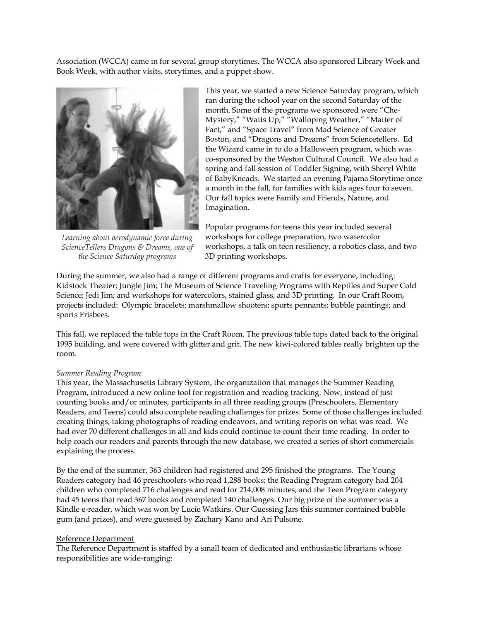Association (WCCA) came in for several group storytimes. The WCCA also sponsored Library Week and Book Week, with author visits, storytimes, and a puppet show.



*Learning about aerodynamic force during ScienceTellers Dragons & Dreams, one of the Science Saturday programs* 

This year, we started a new Science Saturday program, which ran during the school year on the second Saturday of the month. Some of the programs we sponsored were "Che-Mystery," "Watts Up," "Walloping Weather," "Matter of Fact," and "Space Travel" from Mad Science of Greater Boston, and "Dragons and Dreams" from Sciencetellers. Ed the Wizard came in to do a Halloween program, which was co-sponsored by the Weston Cultural Council. We also had a spring and fall session of Toddler Signing, with Sheryl White of BabyKneads. We started an evening Pajama Storytime once a month in the fall, for families with kids ages four to seven. Our fall topics were Family and Friends, Nature, and Imagination.

Popular programs for teens this year included several workshops for college preparation, two watercolor workshops, a talk on teen resiliency, a robotics class, and two 3D printing workshops.

During the summer, we also had a range of different programs and crafts for everyone, including: Kidstock Theater; Jungle Jim; The Museum of Science Traveling Programs with Reptiles and Super Cold Science; Jedi Jim; and workshops for watercolors, stained glass, and 3D printing. In our Craft Room, projects included: Olympic bracelets; marshmallow shooters; sports pennants; bubble paintings; and sports Frisbees.

This fall, we replaced the table tops in the Craft Room. The previous table tops dated back to the original 1995 building, and were covered with glitter and grit. The new kiwi-colored tables really brighten up the room.

#### *Summer Reading Program*

This year, the Massachusetts Library System, the organization that manages the Summer Reading Program, introduced a new online tool for registration and reading tracking. Now, instead of just counting books and/or minutes, participants in all three reading groups (Preschoolers, Elementary Readers, and Teens) could also complete reading challenges for prizes. Some of those challenges included creating things, taking photographs of reading endeavors, and writing reports on what was read. We had over 70 different challenges in all and kids could continue to count their time reading. In order to help coach our readers and parents through the new database, we created a series of short commercials explaining the process.

By the end of the summer, 363 children had registered and 295 finished the programs. The Young Readers category had 46 preschoolers who read 1,288 books; the Reading Program category had 204 children who completed 716 challenges and read for 214,008 minutes; and the Teen Program category had 45 teens that read 367 books and completed 140 challenges. Our big prize of the summer was a Kindle e-reader, which was won by Lucie Watkins. Our Guessing Jars this summer contained bubble gum (and prizes), and were guessed by Zachary Kano and Ari Pulsone.

#### Reference Department

The Reference Department is staffed by a small team of dedicated and enthusiastic librarians whose responsibilities are wide-ranging: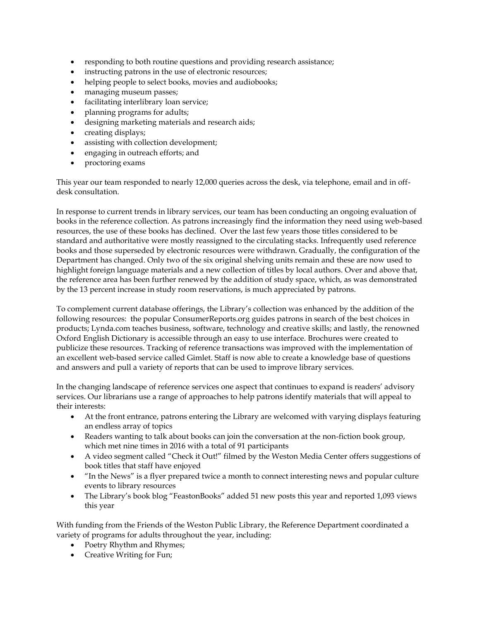- responding to both routine questions and providing research assistance;
- instructing patrons in the use of electronic resources;
- helping people to select books, movies and audiobooks;
- managing museum passes;
- facilitating interlibrary loan service;
- planning programs for adults;
- designing marketing materials and research aids;
- creating displays;
- assisting with collection development;
- engaging in outreach efforts; and
- proctoring exams

This year our team responded to nearly 12,000 queries across the desk, via telephone, email and in offdesk consultation.

In response to current trends in library services, our team has been conducting an ongoing evaluation of books in the reference collection. As patrons increasingly find the information they need using web-based resources, the use of these books has declined. Over the last few years those titles considered to be standard and authoritative were mostly reassigned to the circulating stacks. Infrequently used reference books and those superseded by electronic resources were withdrawn. Gradually, the configuration of the Department has changed. Only two of the six original shelving units remain and these are now used to highlight foreign language materials and a new collection of titles by local authors. Over and above that, the reference area has been further renewed by the addition of study space, which, as was demonstrated by the 13 percent increase in study room reservations, is much appreciated by patrons.

To complement current database offerings, the Library's collection was enhanced by the addition of the following resources: the popular ConsumerReports.org guides patrons in search of the best choices in products; Lynda.com teaches business, software, technology and creative skills; and lastly, the renowned Oxford English Dictionary is accessible through an easy to use interface. Brochures were created to publicize these resources. Tracking of reference transactions was improved with the implementation of an excellent web-based service called Gimlet. Staff is now able to create a knowledge base of questions and answers and pull a variety of reports that can be used to improve library services.

In the changing landscape of reference services one aspect that continues to expand is readers' advisory services. Our librarians use a range of approaches to help patrons identify materials that will appeal to their interests:

- At the front entrance, patrons entering the Library are welcomed with varying displays featuring an endless array of topics
- Readers wanting to talk about books can join the conversation at the non-fiction book group, which met nine times in 2016 with a total of 91 participants
- A video segment called "Check it Out!" filmed by the Weston Media Center offers suggestions of book titles that staff have enjoyed
- "In the News" is a flyer prepared twice a month to connect interesting news and popular culture events to library resources
- The Library's book blog "FeastonBooks" added 51 new posts this year and reported 1,093 views this year

With funding from the Friends of the Weston Public Library, the Reference Department coordinated a variety of programs for adults throughout the year, including:

- Poetry Rhythm and Rhymes;
- Creative Writing for Fun;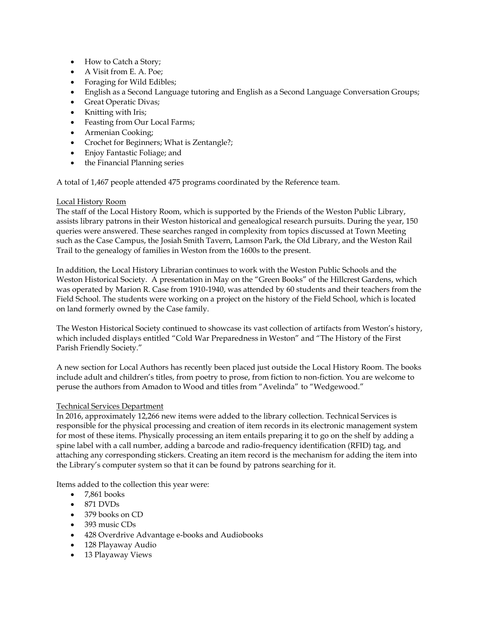- How to Catch a Story;
- A Visit from E. A. Poe;
- Foraging for Wild Edibles;
- English as a Second Language tutoring and English as a Second Language Conversation Groups;
- Great Operatic Divas;
- Knitting with Iris;
- Feasting from Our Local Farms;
- Armenian Cooking;
- Crochet for Beginners; What is Zentangle?;
- Enjoy Fantastic Foliage; and
- the Financial Planning series

A total of 1,467 people attended 475 programs coordinated by the Reference team.

## Local History Room

The staff of the Local History Room, which is supported by the Friends of the Weston Public Library, assists library patrons in their Weston historical and genealogical research pursuits. During the year, 150 queries were answered. These searches ranged in complexity from topics discussed at Town Meeting such as the Case Campus, the Josiah Smith Tavern, Lamson Park, the Old Library, and the Weston Rail Trail to the genealogy of families in Weston from the 1600s to the present.

In addition, the Local History Librarian continues to work with the Weston Public Schools and the Weston Historical Society. A presentation in May on the "Green Books" of the Hillcrest Gardens, which was operated by Marion R. Case from 1910-1940, was attended by 60 students and their teachers from the Field School. The students were working on a project on the history of the Field School, which is located on land formerly owned by the Case family.

The Weston Historical Society continued to showcase its vast collection of artifacts from Weston's history, which included displays entitled "Cold War Preparedness in Weston" and "The History of the First Parish Friendly Society."

A new section for Local Authors has recently been placed just outside the Local History Room. The books include adult and children's titles, from poetry to prose, from fiction to non-fiction. You are welcome to peruse the authors from Amadon to Wood and titles from "Avelinda" to "Wedgewood."

### Technical Services Department

In 2016, approximately 12,266 new items were added to the library collection. Technical Services is responsible for the physical processing and creation of item records in its electronic management system for most of these items. Physically processing an item entails preparing it to go on the shelf by adding a spine label with a call number, adding a barcode and radio-frequency identification (RFID) tag, and attaching any corresponding stickers. Creating an item record is the mechanism for adding the item into the Library's computer system so that it can be found by patrons searching for it.

Items added to the collection this year were:

- $\bullet$  7.861 books
- $\bullet$  871 DVDs
- 379 books on CD
- 393 music CDs
- 428 Overdrive Advantage e-books and Audiobooks
- 128 Playaway Audio
- 13 Playaway Views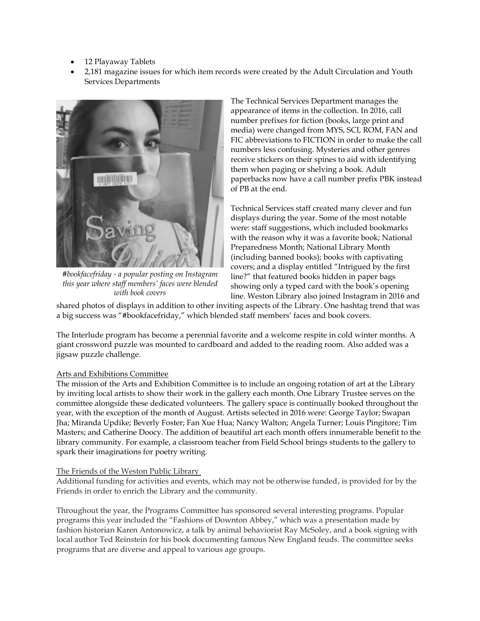- 12 Playaway Tablets
- 2,181 magazine issues for which item records were created by the Adult Circulation and Youth Services Departments



*#bookfacefriday - a popular posting on Instagram this year where staff members' faces were blended with book covers*

The Technical Services Department manages the appearance of items in the collection. In 2016, call number prefixes for fiction (books, large print and media) were changed from MYS, SCI, ROM, FAN and FIC abbreviations to FICTION in order to make the call numbers less confusing. Mysteries and other genres receive stickers on their spines to aid with identifying them when paging or shelving a book. Adult paperbacks now have a call number prefix PBK instead of PB at the end.

Technical Services staff created many clever and fun displays during the year. Some of the most notable were: staff suggestions, which included bookmarks with the reason why it was a favorite book; National Preparedness Month; National Library Month (including banned books); books with captivating covers; and a display entitled "Intrigued by the first line?" that featured books hidden in paper bags showing only a typed card with the book's opening line. Weston Library also joined Instagram in 2016 and

shared photos of displays in addition to other inviting aspects of the Library. One hashtag trend that was a big success was "#bookfacefriday," which blended staff members' faces and book covers.

The Interlude program has become a perennial favorite and a welcome respite in cold winter months. A giant crossword puzzle was mounted to cardboard and added to the reading room. Also added was a jigsaw puzzle challenge.

# Arts and Exhibitions Committee

The mission of the Arts and Exhibition Committee is to include an ongoing rotation of art at the Library by inviting local artists to show their work in the gallery each month. One Library Trustee serves on the committee alongside these dedicated volunteers. The gallery space is continually booked throughout the year, with the exception of the month of August. Artists selected in 2016 were: George Taylor; Swapan Jha; Miranda Updike; Beverly Foster; Fan Xue Hua; Nancy Walton; Angela Turner; Louis Pingitore; Tim Masters; and Catherine Doocy. The addition of beautiful art each month offers innumerable benefit to the library community. For example, a classroom teacher from Field School brings students to the gallery to spark their imaginations for poetry writing.

# The Friends of the Weston Public Library

Additional funding for activities and events, which may not be otherwise funded, is provided for by the Friends in order to enrich the Library and the community.

Throughout the year, the Programs Committee has sponsored several interesting programs. Popular programs this year included the "Fashions of Downton Abbey," which was a presentation made by fashion historian Karen Antonowicz, a talk by animal behaviorist Ray McSoley, and a book signing with local author Ted Reinstein for his book documenting famous New England feuds. The committee seeks programs that are diverse and appeal to various age groups.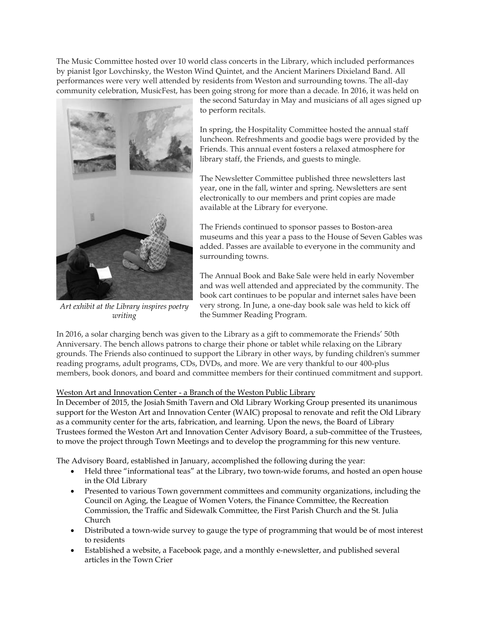The Music Committee hosted over 10 world class concerts in the Library, which included performances by pianist Igor Lovchinsky, the Weston Wind Quintet, and the Ancient Mariners Dixieland Band. All performances were very well attended by residents from Weston and surrounding towns. The all-day community celebration, MusicFest, has been going strong for more than a decade. In 2016, it was held on



*Art exhibit at the Library inspires poetry writing*

the second Saturday in May and musicians of all ages signed up to perform recitals.

In spring, the Hospitality Committee hosted the annual staff luncheon. Refreshments and goodie bags were provided by the Friends. This annual event fosters a relaxed atmosphere for library staff, the Friends, and guests to mingle.

The Newsletter Committee published three newsletters last year, one in the fall, winter and spring. Newsletters are sent electronically to our members and print copies are made available at the Library for everyone.

The Friends continued to sponsor passes to Boston-area museums and this year a pass to the House of Seven Gables was added. Passes are available to everyone in the community and surrounding towns.

The Annual Book and Bake Sale were held in early November and was well attended and appreciated by the community. The book cart continues to be popular and internet sales have been very strong. In June, a one-day book sale was held to kick off the Summer Reading Program.

In 2016, a solar charging bench was given to the Library as a gift to commemorate the Friends' 50th Anniversary. The bench allows patrons to charge their phone or tablet while relaxing on the Library grounds. The Friends also continued to support the Library in other ways, by funding children's summer reading programs, adult programs, CDs, DVDs, and more. We are very thankful to our 400-plus members, book donors, and board and committee members for their continued commitment and support.

# Weston Art and Innovation Center - a Branch of the Weston Public Library

In December of 2015, the Josiah Smith Tavern and Old Library Working Group presented its unanimous support for the Weston Art and Innovation Center (WAIC) proposal to renovate and refit the Old Library as a community center for the arts, fabrication, and learning. Upon the news, the Board of Library Trustees formed the Weston Art and Innovation Center Advisory Board, a sub-committee of the Trustees, to move the project through Town Meetings and to develop the programming for this new venture.

The Advisory Board, established in January, accomplished the following during the year:

- Held three "informational teas" at the Library, two town-wide forums, and hosted an open house in the Old Library
- Presented to various Town government committees and community organizations, including the Council on Aging, the League of Women Voters, the Finance Committee, the Recreation Commission, the Traffic and Sidewalk Committee, the First Parish Church and the St. Julia Church
- Distributed a town-wide survey to gauge the type of programming that would be of most interest to residents
- Established a website, a Facebook page, and a monthly e-newsletter, and published several articles in the Town Crier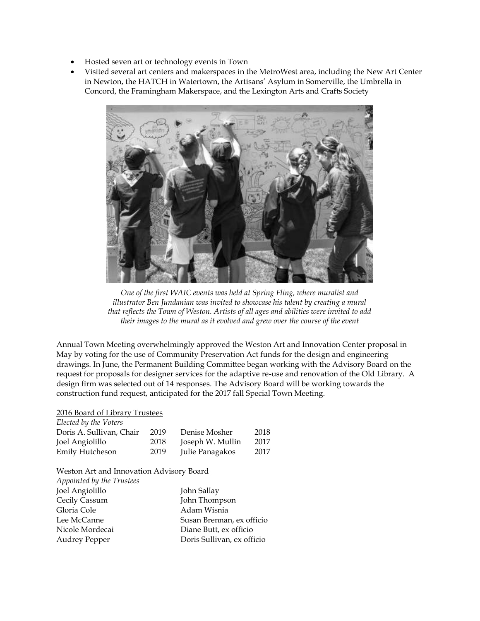- Hosted seven art or technology events in Town
- Visited several art centers and makerspaces in the MetroWest area, including the New Art Center in Newton, the HATCH in Watertown, the Artisans' Asylum in Somerville, the Umbrella in Concord, the Framingham Makerspace, and the Lexington Arts and Crafts Society



*One of the first WAIC events was held at Spring Fling, where muralist and illustrator Ben Jundanian was invited to showcase his talent by creating a mural that reflects the Town of Weston. Artists of all ages and abilities were invited to add their images to the mural as it evolved and grew over the course of the event*

Annual Town Meeting overwhelmingly approved the Weston Art and Innovation Center proposal in May by voting for the use of Community Preservation Act funds for the design and engineering drawings. In June, the Permanent Building Committee began working with the Advisory Board on the request for proposals for designer services for the adaptive re-use and renovation of the Old Library. A design firm was selected out of 14 responses. The Advisory Board will be working towards the construction fund request, anticipated for the 2017 fall Special Town Meeting.

# 2016 Board of Library Trustees

| Elected by the Voters    |      |                  |      |
|--------------------------|------|------------------|------|
| Doris A. Sullivan, Chair | 2019 | Denise Mosher    | 2018 |
| Joel Angiolillo          | 2018 | Joseph W. Mullin | 2017 |
| Emily Hutcheson          | 2019 | Julie Panagakos  | 2017 |

#### Weston Art and Innovation Advisory Board

| Appointed by the Trustees |                            |
|---------------------------|----------------------------|
| Joel Angiolillo           | John Sallay                |
| Cecily Cassum             | John Thompson              |
| Gloria Cole               | Adam Wisnia                |
| Lee McCanne               | Susan Brennan, ex officio  |
| Nicole Mordecai           | Diane Butt, ex officio     |
| <b>Audrey Pepper</b>      | Doris Sullivan, ex officio |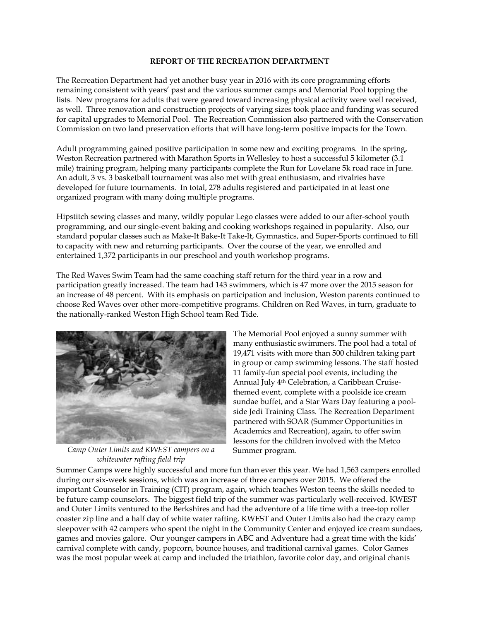#### **REPORT OF THE RECREATION DEPARTMENT**

The Recreation Department had yet another busy year in 2016 with its core programming efforts remaining consistent with years' past and the various summer camps and Memorial Pool topping the lists. New programs for adults that were geared toward increasing physical activity were well received, as well. Three renovation and construction projects of varying sizes took place and funding was secured for capital upgrades to Memorial Pool. The Recreation Commission also partnered with the Conservation Commission on two land preservation efforts that will have long-term positive impacts for the Town.

Adult programming gained positive participation in some new and exciting programs. In the spring, Weston Recreation partnered with Marathon Sports in Wellesley to host a successful 5 kilometer (3.1 mile) training program, helping many participants complete the Run for Lovelane 5k road race in June. An adult, 3 vs. 3 basketball tournament was also met with great enthusiasm, and rivalries have developed for future tournaments. In total, 278 adults registered and participated in at least one organized program with many doing multiple programs.

Hipstitch sewing classes and many, wildly popular Lego classes were added to our after-school youth programming, and our single-event baking and cooking workshops regained in popularity. Also, our standard popular classes such as Make-It Bake-It Take-It, Gymnastics, and Super-Sports continued to fill to capacity with new and returning participants. Over the course of the year, we enrolled and entertained 1,372 participants in our preschool and youth workshop programs.

The Red Waves Swim Team had the same coaching staff return for the third year in a row and participation greatly increased. The team had 143 swimmers, which is 47 more over the 2015 season for an increase of 48 percent. With its emphasis on participation and inclusion, Weston parents continued to choose Red Waves over other more-competitive programs. Children on Red Waves, in turn, graduate to the nationally-ranked Weston High School team Red Tide.



*Camp Outer Limits and KWEST campers on a whitewater rafting field trip*

The Memorial Pool enjoyed a sunny summer with many enthusiastic swimmers. The pool had a total of 19,471 visits with more than 500 children taking part in group or camp swimming lessons. The staff hosted 11 family-fun special pool events, including the Annual July 4th Celebration, a Caribbean Cruisethemed event, complete with a poolside ice cream sundae buffet, and a Star Wars Day featuring a poolside Jedi Training Class. The Recreation Department partnered with SOAR (Summer Opportunities in Academics and Recreation), again, to offer swim lessons for the children involved with the Metco Summer program.

Summer Camps were highly successful and more fun than ever this year. We had 1,563 campers enrolled during our six-week sessions, which was an increase of three campers over 2015. We offered the important Counselor in Training (CIT) program, again, which teaches Weston teens the skills needed to be future camp counselors. The biggest field trip of the summer was particularly well-received. KWEST and Outer Limits ventured to the Berkshires and had the adventure of a life time with a tree-top roller coaster zip line and a half day of white water rafting. KWEST and Outer Limits also had the crazy camp sleepover with 42 campers who spent the night in the Community Center and enjoyed ice cream sundaes, games and movies galore. Our younger campers in ABC and Adventure had a great time with the kids' carnival complete with candy, popcorn, bounce houses, and traditional carnival games. Color Games was the most popular week at camp and included the triathlon, favorite color day, and original chants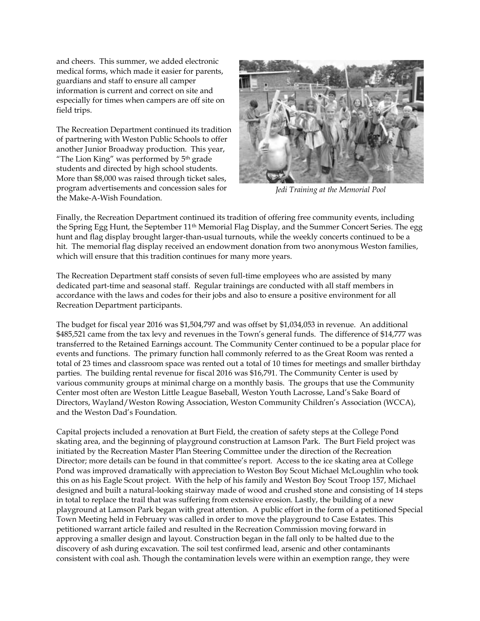and cheers. This summer, we added electronic medical forms, which made it easier for parents, guardians and staff to ensure all camper information is current and correct on site and especially for times when campers are off site on field trips.

The Recreation Department continued its tradition of partnering with Weston Public Schools to offer another Junior Broadway production. This year, "The Lion King" was performed by  $5<sup>th</sup>$  grade students and directed by high school students. More than \$8,000 was raised through ticket sales, program advertisements and concession sales for the Make-A-Wish Foundation.



*Jedi Training at the Memorial Pool*

Finally, the Recreation Department continued its tradition of offering free community events, including the Spring Egg Hunt, the September 11th Memorial Flag Display, and the Summer Concert Series. The egg hunt and flag display brought larger-than-usual turnouts, while the weekly concerts continued to be a hit. The memorial flag display received an endowment donation from two anonymous Weston families, which will ensure that this tradition continues for many more years.

The Recreation Department staff consists of seven full-time employees who are assisted by many dedicated part-time and seasonal staff. Regular trainings are conducted with all staff members in accordance with the laws and codes for their jobs and also to ensure a positive environment for all Recreation Department participants.

The budget for fiscal year 2016 was \$1,504,797 and was offset by \$1,034,053 in revenue. An additional \$485,521 came from the tax levy and revenues in the Town's general funds. The difference of \$14,777 was transferred to the Retained Earnings account. The Community Center continued to be a popular place for events and functions. The primary function hall commonly referred to as the Great Room was rented a total of 23 times and classroom space was rented out a total of 10 times for meetings and smaller birthday parties. The building rental revenue for fiscal 2016 was \$16,791. The Community Center is used by various community groups at minimal charge on a monthly basis. The groups that use the Community Center most often are Weston Little League Baseball, Weston Youth Lacrosse, Land's Sake Board of Directors, Wayland/Weston Rowing Association, Weston Community Children's Association (WCCA), and the Weston Dad's Foundation.

Capital projects included a renovation at Burt Field, the creation of safety steps at the College Pond skating area, and the beginning of playground construction at Lamson Park. The Burt Field project was initiated by the Recreation Master Plan Steering Committee under the direction of the Recreation Director; more details can be found in that committee's report. Access to the ice skating area at College Pond was improved dramatically with appreciation to Weston Boy Scout Michael McLoughlin who took this on as his Eagle Scout project. With the help of his family and Weston Boy Scout Troop 157, Michael designed and built a natural-looking stairway made of wood and crushed stone and consisting of 14 steps in total to replace the trail that was suffering from extensive erosion. Lastly, the building of a new playground at Lamson Park began with great attention. A public effort in the form of a petitioned Special Town Meeting held in February was called in order to move the playground to Case Estates. This petitioned warrant article failed and resulted in the Recreation Commission moving forward in approving a smaller design and layout. Construction began in the fall only to be halted due to the discovery of ash during excavation. The soil test confirmed lead, arsenic and other contaminants consistent with coal ash. Though the contamination levels were within an exemption range, they were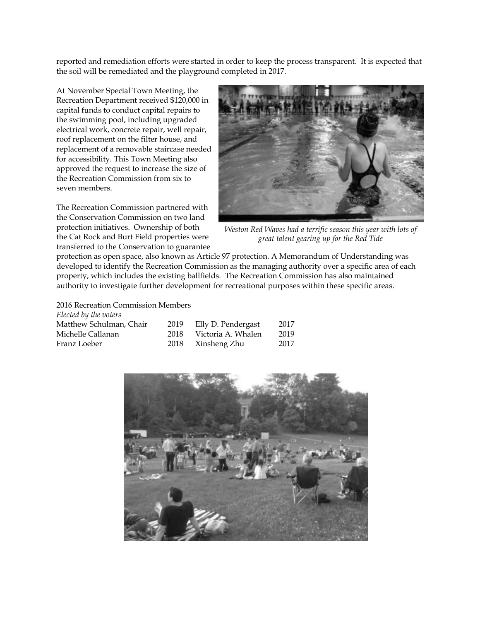reported and remediation efforts were started in order to keep the process transparent. It is expected that the soil will be remediated and the playground completed in 2017.

At November Special Town Meeting, the Recreation Department received \$120,000 in capital funds to conduct capital repairs to the swimming pool, including upgraded electrical work, concrete repair, well repair, roof replacement on the filter house, and replacement of a removable staircase needed for accessibility. This Town Meeting also approved the request to increase the size of the Recreation Commission from six to seven members.

The Recreation Commission partnered with the Conservation Commission on two land protection initiatives. Ownership of both the Cat Rock and Burt Field properties were transferred to the Conservation to guarantee



*Weston Red Waves had a terrific season this year with lots of great talent gearing up for the Red Tide*

protection as open space, also known as Article 97 protection. A Memorandum of Understanding was developed to identify the Recreation Commission as the managing authority over a specific area of each property, which includes the existing ballfields. The Recreation Commission has also maintained authority to investigate further development for recreational purposes within these specific areas.

2016 Recreation Commission Members

| Elected by the voters   |      |                    |      |
|-------------------------|------|--------------------|------|
| Matthew Schulman, Chair | 2019 | Elly D. Pendergast | 2017 |
| Michelle Callanan       | 2018 | Victoria A. Whalen | 2019 |
| Franz Loeber            | 2018 | Xinsheng Zhu       | 2017 |